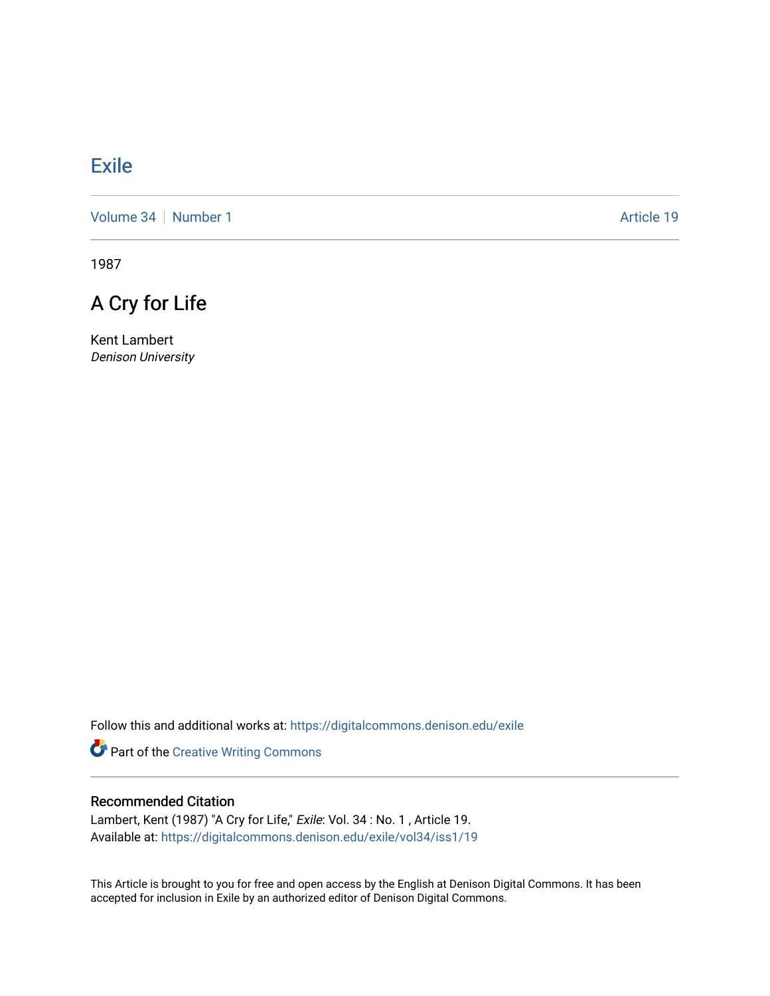# [Exile](https://digitalcommons.denison.edu/exile)

[Volume 34](https://digitalcommons.denison.edu/exile/vol34) [Number 1](https://digitalcommons.denison.edu/exile/vol34/iss1) Article 19

1987

# A Cry for Life

Kent Lambert Denison University

Follow this and additional works at: [https://digitalcommons.denison.edu/exile](https://digitalcommons.denison.edu/exile?utm_source=digitalcommons.denison.edu%2Fexile%2Fvol34%2Fiss1%2F19&utm_medium=PDF&utm_campaign=PDFCoverPages) 

Part of the [Creative Writing Commons](http://network.bepress.com/hgg/discipline/574?utm_source=digitalcommons.denison.edu%2Fexile%2Fvol34%2Fiss1%2F19&utm_medium=PDF&utm_campaign=PDFCoverPages) 

#### Recommended Citation

Lambert, Kent (1987) "A Cry for Life," Exile: Vol. 34 : No. 1, Article 19. Available at: [https://digitalcommons.denison.edu/exile/vol34/iss1/19](https://digitalcommons.denison.edu/exile/vol34/iss1/19?utm_source=digitalcommons.denison.edu%2Fexile%2Fvol34%2Fiss1%2F19&utm_medium=PDF&utm_campaign=PDFCoverPages)

This Article is brought to you for free and open access by the English at Denison Digital Commons. It has been accepted for inclusion in Exile by an authorized editor of Denison Digital Commons.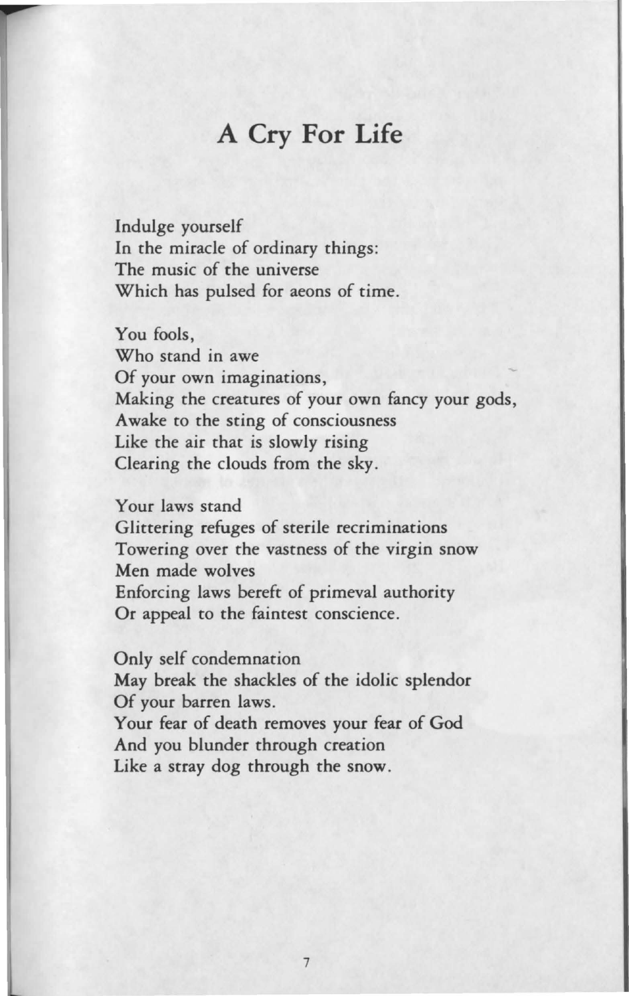### **A Cry For Life**

Indulge yourself In the miracle of ordinary things: The music of the universe Which has pulsed for aeons of time.

You fools,

Who stand in awe Of your own imaginations, Making the creatures of your own fancy your gods, Awake to the sting of consciousness Like the air that is slowly rising Clearing the clouds from the sky.

Your laws stand Glittering refuges of sterile recriminations Towering over the vastness of the virgin snow Men made wolves Enforcing laws bereft of primeval authority Or appeal to the faintest conscience.

Only self condemnation May break the shackles of the idolic splendor Of your barren laws. Your fear of death removes your fear of God And you blunder through creation Like a stray dog through the snow.